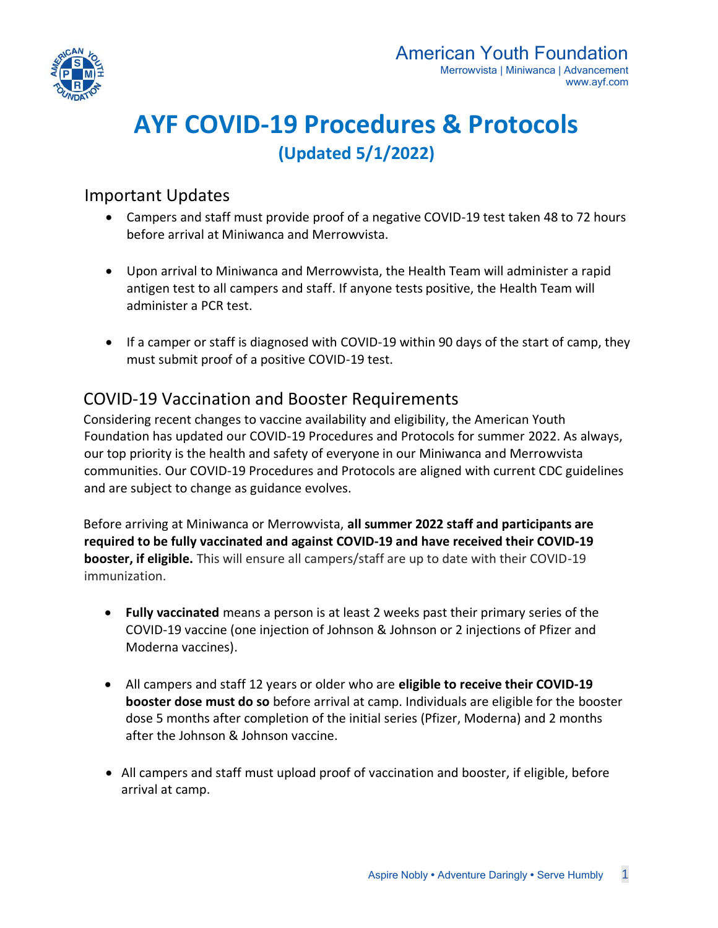

# **AYF COVID-19 Procedures & Protocols (Updated 5/1/2022)**

#### Important Updates

- Campers and staff must provide proof of a negative COVID-19 test taken 48 to 72 hours before arrival at Miniwanca and Merrowvista.
- Upon arrival to Miniwanca and Merrowvista, the Health Team will administer a rapid antigen test to all campers and staff. If anyone tests positive, the Health Team will administer a PCR test.
- If a camper or staff is diagnosed with COVID-19 within 90 days of the start of camp, they must submit proof of a positive COVID-19 test.

## COVID-19 Vaccination and Booster Requirements

Considering recent changes to vaccine availability and eligibility, the American Youth Foundation has updated our COVID-19 Procedures and Protocols for summer 2022. As always, our top priority is the health and safety of everyone in our Miniwanca and Merrowvista communities. Our COVID-19 Procedures and Protocols are aligned with current CDC guidelines and are subject to change as guidance evolves.

Before arriving at Miniwanca or Merrowvista, **all summer 2022 staff and participants are required to be fully vaccinated and against COVID-19 and have received their COVID-19 booster, if eligible.** This will ensure all campers/staff are up to date with their COVID-19 immunization.

- **Fully vaccinated** means a person is at least 2 weeks past their primary series of the COVID-19 vaccine (one injection of Johnson & Johnson or 2 injections of Pfizer and Moderna vaccines).
- All campers and staff 12 years or older who are **eligible to receive their COVID-19 booster dose must do so** before arrival at camp. Individuals are eligible for the booster dose 5 months after completion of the initial series (Pfizer, Moderna) and 2 months after the Johnson & Johnson vaccine.
- All campers and staff must upload proof of vaccination and booster, if eligible, before arrival at camp.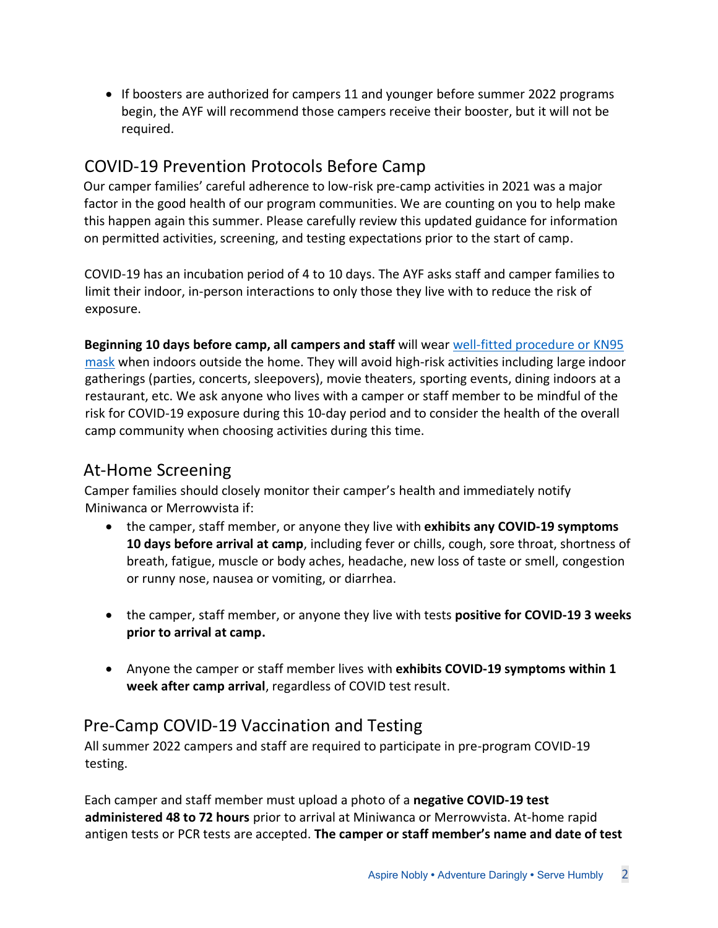• If boosters are authorized for campers 11 and younger before summer 2022 programs begin, the AYF will recommend those campers receive their booster, but it will not be required.

## COVID-19 Prevention Protocols Before Camp

Our camper families' careful adherence to low-risk pre-camp activities in 2021 was a major factor in the good health of our program communities. We are counting on you to help make this happen again this summer. Please carefully review this updated guidance for information on permitted activities, screening, and testing expectations prior to the start of camp.

COVID-19 has an incubation period of 4 to 10 days. The AYF asks staff and camper families to limit their indoor, in-person interactions to only those they live with to reduce the risk of exposure.

**Beginning 10 days before camp, all campers and staff** will wear [well-fitted procedure or KN95](https://www.cdc.gov/coronavirus/2019-ncov/prevent-getting-sick/mask-fit-and-filtration.html)  [mask](https://www.cdc.gov/coronavirus/2019-ncov/prevent-getting-sick/mask-fit-and-filtration.html) when indoors outside the home. They will avoid high-risk activities including large indoor gatherings (parties, concerts, sleepovers), movie theaters, sporting events, dining indoors at a restaurant, etc. We ask anyone who lives with a camper or staff member to be mindful of the risk for COVID-19 exposure during this 10-day period and to consider the health of the overall camp community when choosing activities during this time.

## At-Home Screening

Camper families should closely monitor their camper's health and immediately notify Miniwanca or Merrowvista if:

- the camper, staff member, or anyone they live with **exhibits any COVID-19 symptoms 10 days before arrival at camp**, including fever or chills, cough, sore throat, shortness of breath, fatigue, muscle or body aches, headache, new loss of taste or smell, congestion or runny nose, nausea or vomiting, or diarrhea.
- the camper, staff member, or anyone they live with tests **positive for COVID-19 3 weeks prior to arrival at camp.**
- Anyone the camper or staff member lives with **exhibits COVID-19 symptoms within 1 week after camp arrival**, regardless of COVID test result.

## Pre-Camp COVID-19 Vaccination and Testing

All summer 2022 campers and staff are required to participate in pre-program COVID-19 testing.

Each camper and staff member must upload a photo of a **negative COVID-19 test administered 48 to 72 hours** prior to arrival at Miniwanca or Merrowvista. At-home rapid antigen tests or PCR tests are accepted. **The camper or staff member's name and date of test**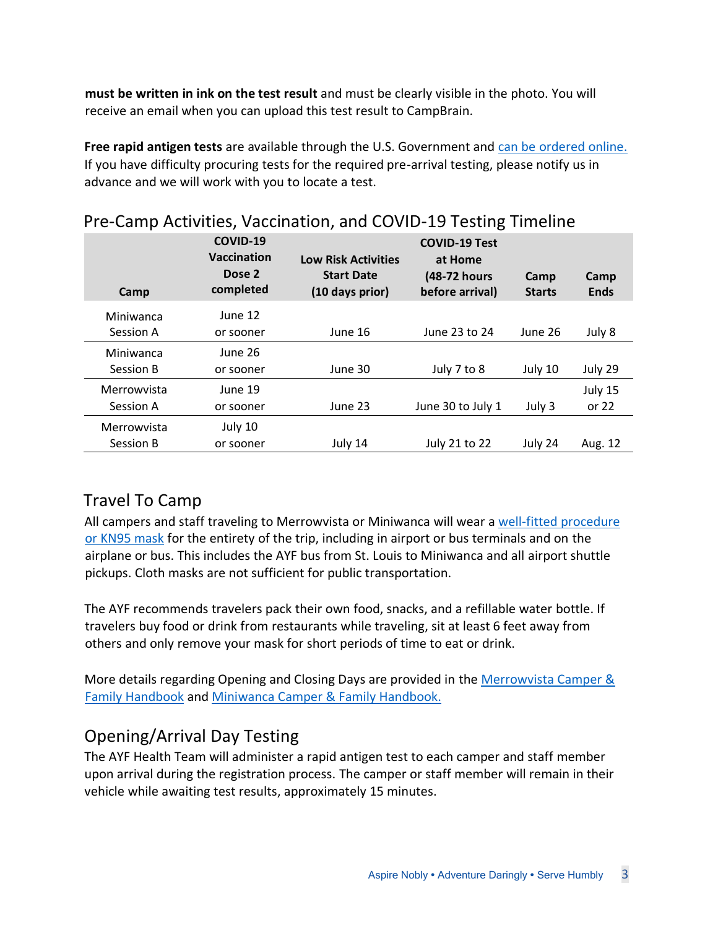**must be written in ink on the test result** and must be clearly visible in the photo. You will receive an email when you can upload this test result to CampBrain.

**Free rapid antigen tests** are available through the U.S. Government and [can be ordered online.](https://www.covid.gov/tests) If you have difficulty procuring tests for the required pre-arrival testing, please notify us in advance and we will work with you to locate a test.

| Camp                     | COVID-19<br><b>Vaccination</b><br>Dose 2<br>completed | <b>Low Risk Activities</b><br><b>Start Date</b><br>(10 days prior) | <b>COVID-19 Test</b><br>at Home<br>(48-72 hours<br>before arrival) | Camp<br><b>Starts</b> | Camp<br><b>Ends</b> |
|--------------------------|-------------------------------------------------------|--------------------------------------------------------------------|--------------------------------------------------------------------|-----------------------|---------------------|
| Miniwanca<br>Session A   | June 12<br>or sooner                                  | June 16                                                            | June 23 to 24                                                      | June 26               | July 8              |
| Miniwanca<br>Session B   | June 26<br>or sooner                                  | June 30                                                            | July 7 to 8                                                        | July 10               | July 29             |
| Merrowvista<br>Session A | June 19<br>or sooner                                  | June 23                                                            | June 30 to July 1                                                  | July 3                | July 15<br>or $22$  |
| Merrowvista<br>Session B | July 10<br>or sooner                                  | July 14                                                            | July 21 to 22                                                      | July 24               | Aug. 12             |

### Pre-Camp Activities, Vaccination, and COVID-19 Testing Timeline

## Travel To Camp

All campers and staff traveling to Merrowvista or Miniwanca will wear a [well-fitted procedure](https://www.cdc.gov/coronavirus/2019-ncov/prevent-getting-sick/mask-fit-and-filtration.html)  [or KN95 mask](https://www.cdc.gov/coronavirus/2019-ncov/prevent-getting-sick/mask-fit-and-filtration.html) for the entirety of the trip, including in airport or bus terminals and on the airplane or bus. This includes the AYF bus from St. Louis to Miniwanca and all airport shuttle pickups. Cloth masks are not sufficient for public transportation.

The AYF recommends travelers pack their own food, snacks, and a refillable water bottle. If travelers buy food or drink from restaurants while traveling, sit at least 6 feet away from others and only remove your mask for short periods of time to eat or drink.

More details regarding Opening and Closing Days are provided in the [Merrowvista Camper &](https://ayf.com/wp-content/uploads/2022/04/2022-Merrowvista-Camper-Handbook.pdf)  [Family Handbook](https://ayf.com/wp-content/uploads/2022/04/2022-Merrowvista-Camper-Handbook.pdf) and [Miniwanca Camper & Family Handbook.](https://ayf.com/wp-content/uploads/2022/03/2022-Miniwanca-Handbook.pdf)

## Opening/Arrival Day Testing

The AYF Health Team will administer a rapid antigen test to each camper and staff member upon arrival during the registration process. The camper or staff member will remain in their vehicle while awaiting test results, approximately 15 minutes.